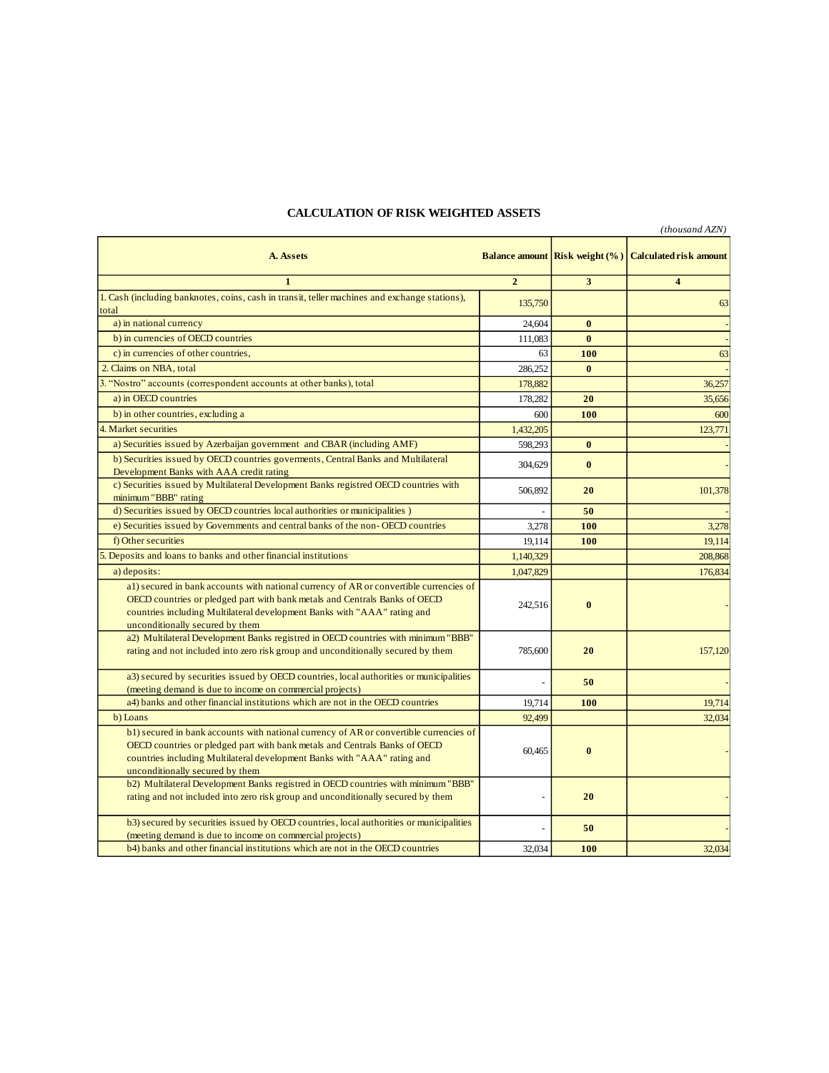## **CALCULATION OF RISK WEIGHTED ASSETS**

|                                                                                                                                                        |                |                                       | (thousand AZN)                |
|--------------------------------------------------------------------------------------------------------------------------------------------------------|----------------|---------------------------------------|-------------------------------|
| A. Assets                                                                                                                                              |                | <b>Balance amount Risk weight (%)</b> | <b>Calculated risk amount</b> |
| $\mathbf{1}$                                                                                                                                           | $\overline{2}$ | 3                                     | $\overline{\mathbf{4}}$       |
| 1. Cash (including banknotes, coins, cash in transit, teller machines and exchange stations),                                                          | 135,750        |                                       | 63                            |
| total                                                                                                                                                  |                |                                       |                               |
| a) in national currency                                                                                                                                | 24,604         | $\bf{0}$                              |                               |
| b) in currencies of OECD countries                                                                                                                     | 111.083        | $\mathbf{0}$                          |                               |
| c) in currencies of other countries.                                                                                                                   | 63             | 100                                   | 63                            |
| 2. Claims on NBA, total                                                                                                                                | 286,252        | $\mathbf{0}$                          |                               |
| 3. "Nostro" accounts (correspondent accounts at other banks), total                                                                                    | 178,882        |                                       | 36,257                        |
| a) in OECD countries                                                                                                                                   | 178,282        | 20                                    | 35,656                        |
| b) in other countries, excluding a                                                                                                                     | 600            | 100                                   | 600                           |
| 4. Market securities                                                                                                                                   | 1,432,205      |                                       | 123,771                       |
| a) Securities issued by Azerbaijan government and CBAR (including AMF)                                                                                 | 598,293        | $\mathbf{0}$                          |                               |
| b) Securities issued by OECD countries governents, Central Banks and Multilateral                                                                      |                |                                       |                               |
| Development Banks with AAA credit rating                                                                                                               | 304,629        | $\bf{0}$                              |                               |
| c) Securities issued by Multilateral Development Banks registred OECD countries with                                                                   |                |                                       |                               |
| minimum "BBB" rating                                                                                                                                   | 506,892        | 20                                    | 101,378                       |
| d) Securities issued by OECD countries local authorities or municipalities )                                                                           | $\overline{a}$ | 50                                    |                               |
| e) Securities issued by Governments and central banks of the non-OECD countries                                                                        | 3,278          | 100                                   | 3,278                         |
| f) Other securities                                                                                                                                    | 19,114         | 100                                   | 19,114                        |
| 5. Deposits and loans to banks and other financial institutions                                                                                        | 1,140,329      |                                       | 208,868                       |
| a) deposits:                                                                                                                                           | 1,047,829      |                                       | 176,834                       |
| a1) secured in bank accounts with national currency of AR or convertible currencies of                                                                 |                |                                       |                               |
| OECD countries or pledged part with bank metals and Centrals Banks of OECD                                                                             |                |                                       |                               |
| countries including Multilateral development Banks with "AAA" rating and                                                                               | 242,516        | $\bf{0}$                              |                               |
| unconditionally secured by them                                                                                                                        |                |                                       |                               |
| a2) Multilateral Development Banks registred in OECD countries with minimum "BBB"                                                                      |                |                                       |                               |
| rating and not included into zero risk group and unconditionally secured by them                                                                       | 785,600        | 20                                    | 157,120                       |
|                                                                                                                                                        |                |                                       |                               |
| a3) secured by securities issued by OECD countries, local authorities or municipalities                                                                |                | 50                                    |                               |
| (meeting demand is due to income on commercial projects)                                                                                               |                |                                       |                               |
| a4) banks and other financial institutions which are not in the OECD countries                                                                         | 19,714         | 100                                   | 19,714                        |
| b) Loans                                                                                                                                               | 92,499         |                                       | 32,034                        |
| b1) secured in bank accounts with national currency of AR or convertible currencies of                                                                 |                |                                       |                               |
| OECD countries or pledged part with bank metals and Centrals Banks of OECD<br>countries including Multilateral development Banks with "AAA" rating and | 60,465         | $\mathbf{0}$                          |                               |
| unconditionally secured by them                                                                                                                        |                |                                       |                               |
| b2) Multilateral Development Banks registred in OECD countries with minimum "BBB"                                                                      |                |                                       |                               |
| rating and not included into zero risk group and unconditionally secured by them                                                                       |                | 20                                    |                               |
|                                                                                                                                                        |                |                                       |                               |
| b3) secured by securities issued by OECD countries, local authorities or municipalities                                                                |                | 50                                    |                               |
| (meeting demand is due to income on commercial projects)                                                                                               |                |                                       |                               |
| b4) banks and other financial institutions which are not in the OECD countries                                                                         | 32,034         | 100                                   | 32,034                        |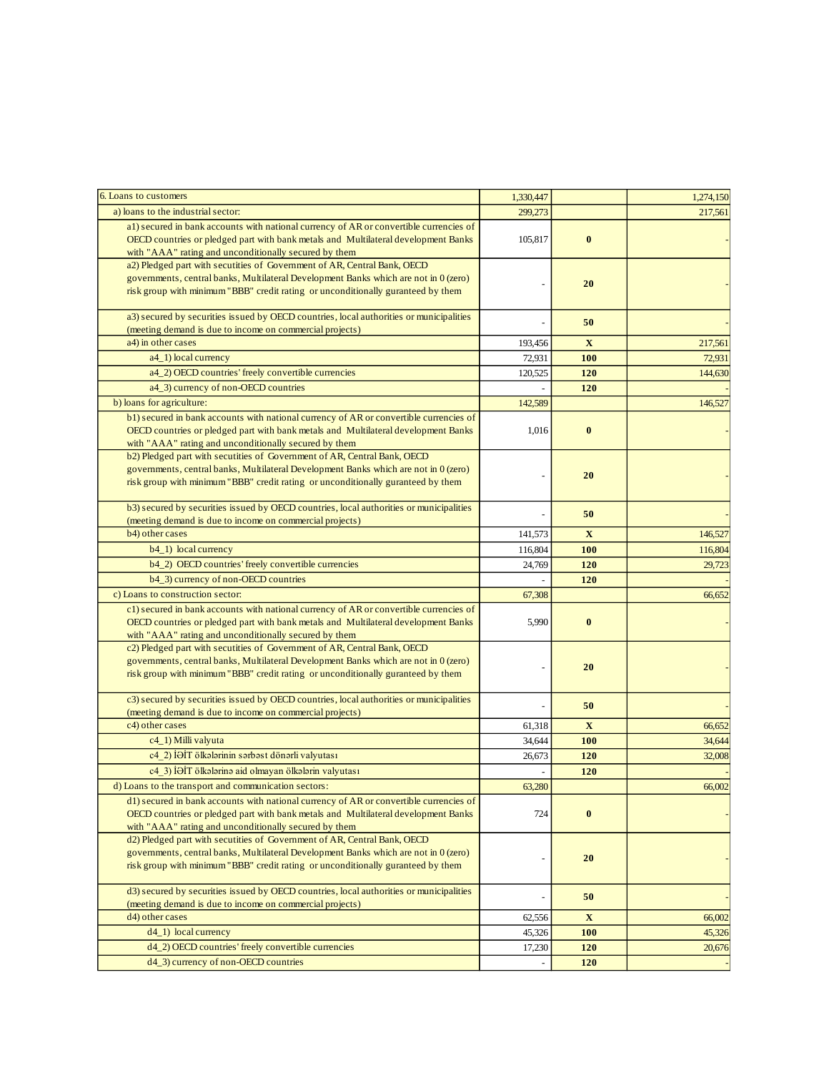| 6. Loans to customers                                                                   | 1,330,447 |             | 1,274,150 |
|-----------------------------------------------------------------------------------------|-----------|-------------|-----------|
| a) loans to the industrial sector:                                                      | 299,273   |             | 217,561   |
| al) secured in bank accounts with national currency of AR or convertible currencies of  |           |             |           |
| OECD countries or pledged part with bank metals and Multilateral development Banks      | 105,817   | $\bf{0}$    |           |
| with "AAA" rating and unconditionally secured by them                                   |           |             |           |
| a2) Pledged part with secutities of Government of AR, Central Bank, OECD                |           |             |           |
| governments, central banks, Multilateral Development Banks which are not in 0 (zero)    |           | 20          |           |
| risk group with minimum "BBB" credit rating or unconditionally guranteed by them        |           |             |           |
|                                                                                         |           |             |           |
| a3) secured by securities issued by OECD countries, local authorities or municipalities |           | 50          |           |
| (meeting demand is due to income on commercial projects)                                |           |             |           |
| a4) in other cases                                                                      | 193,456   | X           | 217,561   |
| a4_1) local currency                                                                    | 72,931    | <b>100</b>  | 72,931    |
| a4_2) OECD countries' freely convertible currencies                                     | 120,525   | 120         | 144,630   |
| a4_3) currency of non-OECD countries                                                    |           | 120         |           |
| b) loans for agriculture:                                                               | 142,589   |             | 146,527   |
| b1) secured in bank accounts with national currency of AR or convertible currencies of  |           |             |           |
| OECD countries or pledged part with bank metals and Multilateral development Banks      | 1,016     | $\bf{0}$    |           |
| with "AAA" rating and unconditionally secured by them                                   |           |             |           |
| b2) Pledged part with secutities of Government of AR, Central Bank, OECD                |           |             |           |
| governments, central banks, Multilateral Development Banks which are not in 0 (zero)    |           |             |           |
| risk group with minimum "BBB" credit rating or unconditionally guranteed by them        |           | 20          |           |
|                                                                                         |           |             |           |
| b3) secured by securities issued by OECD countries, local authorities or municipalities |           | 50          |           |
| (meeting demand is due to income on commercial projects)                                |           |             |           |
| b4) other cases                                                                         | 141,573   | $\mathbf X$ | 146,527   |
| b4_1) local currency                                                                    | 116,804   | 100         | 116,804   |
| b4_2) OECD countries' freely convertible currencies                                     | 24,769    | 120         | 29,723    |
| b4_3) currency of non-OECD countries                                                    |           | 120         |           |
| c) Loans to construction sector:                                                        | 67,308    |             | 66,652    |
| c1) secured in bank accounts with national currency of AR or convertible currencies of  |           |             |           |
| OECD countries or pledged part with bank metals and Multilateral development Banks      | 5,990     | $\bf{0}$    |           |
| with "AAA" rating and unconditionally secured by them                                   |           |             |           |
| c2) Pledged part with secutities of Government of AR, Central Bank, OECD                |           |             |           |
| governments, central banks, Multilateral Development Banks which are not in 0 (zero)    |           |             |           |
| risk group with minimum "BBB" credit rating or unconditionally guranteed by them        |           | 20          |           |
|                                                                                         |           |             |           |
| c3) secured by securities issued by OECD countries, local authorities or municipalities |           | 50          |           |
| (meeting demand is due to income on commercial projects)                                |           |             |           |
| c4) other cases                                                                         | 61,318    | $\mathbf X$ | 66,652    |
| c4_1) Milli valyuta                                                                     | 34,644    | 100         | 34,644    |
| c4 2) İƏİT ölkələrinin sərbəst dönərli valyutası                                        | 26.673    | 120         | 32,008    |
| c4 3) İƏİT ölkələrinə aid olmayan ölkələrin valyutası                                   |           | 120         |           |
| d) Loans to the transport and communication sectors:                                    | 63,280    |             | 66,002    |
| d1) secured in bank accounts with national currency of AR or convertible currencies of  |           |             |           |
| OECD countries or pledged part with bank metals and Multilateral development Banks      | 724       | $\bf{0}$    |           |
| with "AAA" rating and unconditionally secured by them                                   |           |             |           |
| d2) Pledged part with secutities of Government of AR, Central Bank, OECD                |           |             |           |
| governments, central banks, Multilateral Development Banks which are not in 0 (zero)    |           |             |           |
| risk group with minimum "BBB" credit rating or unconditionally guranteed by them        |           | 20          |           |
|                                                                                         |           |             |           |
| d3) secured by securities issued by OECD countries, local authorities or municipalities |           | 50          |           |
| (meeting demand is due to income on commercial projects)                                |           |             |           |
| d4) other cases                                                                         | 62,556    | $\mathbf X$ | 66,002    |
| $d4_1)$ local currency                                                                  | 45,326    | <b>100</b>  | 45,326    |
| d4_2) OECD countries' freely convertible currencies                                     | 17,230    | 120         | 20,676    |
| d4_3) currency of non-OECD countries                                                    |           | 120         |           |
|                                                                                         |           |             |           |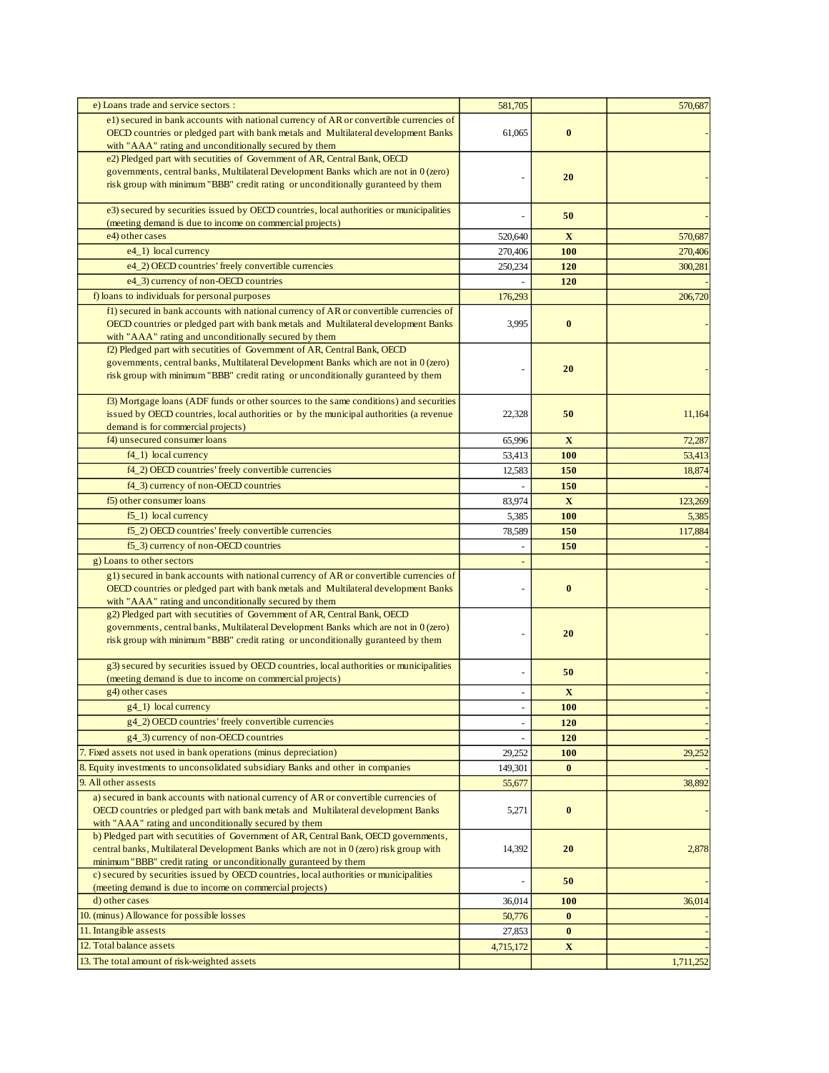| e) Loans trade and service sectors :                                                                                                                                         | 581,705           |              | 570,687   |
|------------------------------------------------------------------------------------------------------------------------------------------------------------------------------|-------------------|--------------|-----------|
| e1) secured in bank accounts with national currency of AR or convertible currencies of<br>OECD countries or pledged part with bank metals and Multilateral development Banks | 61,065            | $\bf{0}$     |           |
| with "AAA" rating and unconditionally secured by them                                                                                                                        |                   |              |           |
| e2) Pledged part with secutities of Government of AR, Central Bank, OECD                                                                                                     |                   |              |           |
| governments, central banks, Multilateral Development Banks which are not in 0 (zero)                                                                                         |                   | 20           |           |
| risk group with minimum "BBB" credit rating or unconditionally guranteed by them                                                                                             |                   |              |           |
| e3) secured by securities issued by OECD countries, local authorities or municipalities                                                                                      |                   | 50           |           |
| (meeting demand is due to income on commercial projects)                                                                                                                     |                   |              |           |
| e4) other cases                                                                                                                                                              | 520,640           | $\mathbf{X}$ | 570,687   |
| e4_1) local currency                                                                                                                                                         | 270,406           | 100          | 270,406   |
| e4_2) OECD countries' freely convertible currencies                                                                                                                          | 250,234           | 120          | 300,281   |
| e4_3) currency of non-OECD countries                                                                                                                                         |                   | 120          |           |
| f) loans to individuals for personal purposes                                                                                                                                | 176,293           |              | 206,720   |
| f1) secured in bank accounts with national currency of AR or convertible currencies of                                                                                       |                   |              |           |
| OECD countries or pledged part with bank metals and Multilateral development Banks<br>with "AAA" rating and unconditionally secured by them                                  | 3,995             | $\bf{0}$     |           |
| f2) Pledged part with secutities of Government of AR, Central Bank, OECD                                                                                                     |                   |              |           |
| governments, central banks, Multilateral Development Banks which are not in 0 (zero)                                                                                         |                   |              |           |
| risk group with minimum "BBB" credit rating or unconditionally guranteed by them                                                                                             |                   | 20           |           |
|                                                                                                                                                                              |                   |              |           |
| f3) Mortgage loans (ADF funds or other sources to the same conditions) and securities                                                                                        |                   |              |           |
| issued by OECD countries, local authorities or by the municipal authorities (a revenue<br>demand is for commercial projects)                                                 | 22,328            | 50           | 11,164    |
| f4) unsecured consumer loans                                                                                                                                                 | 65,996            | X            | 72,287    |
| $f4_1)$ local currency                                                                                                                                                       | 53,413            | 100          | 53,413    |
| f4_2) OECD countries' freely convertible currencies                                                                                                                          | 12,583            | 150          | 18,874    |
| f4_3) currency of non-OECD countries                                                                                                                                         |                   | 150          |           |
| f5) other consumer loans                                                                                                                                                     | 83,974            | $\mathbf X$  | 123,269   |
| $f5_1$ ) local currency                                                                                                                                                      | 5,385             | <b>100</b>   | 5,385     |
| f5_2) OECD countries' freely convertible currencies                                                                                                                          | 78,589            | 150          | 117,884   |
| f5_3) currency of non-OECD countries                                                                                                                                         | $\overline{a}$    | 150          |           |
| g) Loans to other sectors                                                                                                                                                    |                   |              |           |
| g1) secured in bank accounts with national currency of AR or convertible currencies of                                                                                       |                   |              |           |
| OECD countries or pledged part with bank metals and Multilateral development Banks                                                                                           |                   | $\bf{0}$     |           |
| with "AAA" rating and unconditionally secured by them                                                                                                                        |                   |              |           |
| g2) Pledged part with secutities of Government of AR, Central Bank, OECD                                                                                                     |                   |              |           |
| governments, central banks, Multilateral Development Banks which are not in 0 (zero)<br>risk group with minimum "BBB" credit rating or unconditionally guranteed by them     |                   | 20           |           |
|                                                                                                                                                                              |                   |              |           |
| g3) secured by securities issued by OECD countries, local authorities or municipalities                                                                                      |                   | 50           |           |
| (meeting demand is due to income on commercial projects)                                                                                                                     |                   |              |           |
| g4) other cases                                                                                                                                                              | ÷,                | $\mathbf{X}$ |           |
| g4_1) local currency                                                                                                                                                         | -                 | <b>100</b>   |           |
| g4_2) OECD countries' freely convertible currencies                                                                                                                          |                   | 120          |           |
| g4_3) currency of non-OECD countries                                                                                                                                         |                   | 120          |           |
| 7. Fixed assets not used in bank operations (minus depreciation)<br>8. Equity investments to unconsolidated subsidiary Banks and other in companies                          | 29,252            | <b>100</b>   | 29,252    |
| 9. All other assests                                                                                                                                                         | 149,301<br>55,677 | $\bf{0}$     | 38,892    |
| a) secured in bank accounts with national currency of AR or convertible currencies of                                                                                        |                   |              |           |
| OECD countries or pledged part with bank metals and Multilateral development Banks                                                                                           | 5,271             | $\bf{0}$     |           |
| with "AAA" rating and unconditionally secured by them                                                                                                                        |                   |              |           |
| b) Pledged part with secutities of Government of AR, Central Bank, OECD governments,                                                                                         |                   |              |           |
| central banks, Multilateral Development Banks which are not in $0$ (zero) risk group with                                                                                    | 14,392            | 20           | 2,878     |
| minimum "BBB" credit rating or unconditionally guranteed by them<br>c) secured by securities issued by OECD countries, local authorities or municipalities                   |                   |              |           |
| (meeting demand is due to income on commercial projects)                                                                                                                     |                   | 50           |           |
| d) other cases                                                                                                                                                               | 36,014            | <b>100</b>   | 36,014    |
| 10. (minus) Allowance for possible losses                                                                                                                                    | 50,776            | $\bf{0}$     |           |
| 11. Intangible assests                                                                                                                                                       | 27,853            | $\bf{0}$     |           |
| 12. Total balance assets                                                                                                                                                     | 4,715,172         | $\mathbf X$  |           |
| 13. The total amount of risk-weighted assets                                                                                                                                 |                   |              | 1,711,252 |